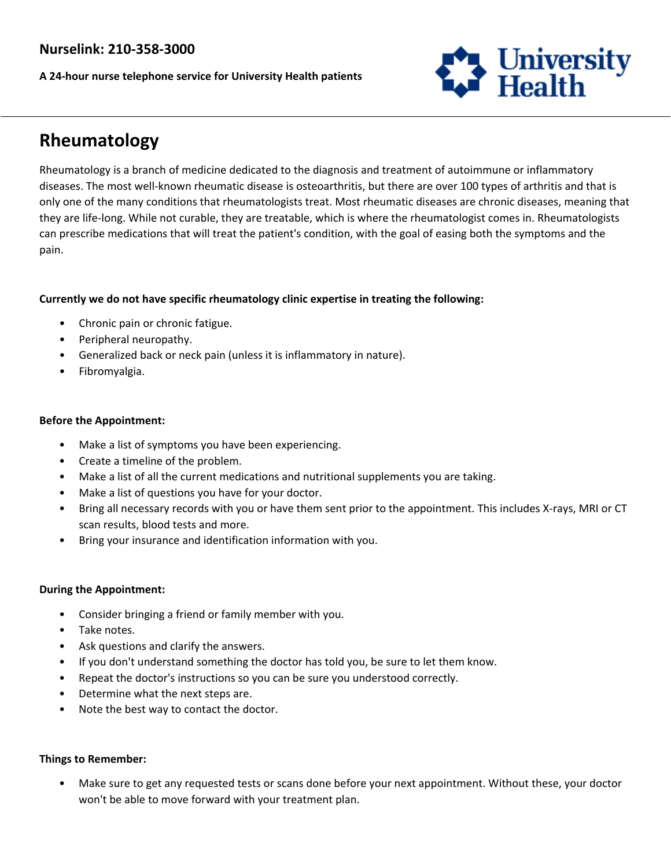## **Nurselink: 210-358-3000**

**A 24-hour nurse telephone service for University Health patients**



# **Rheumatology**

Rheumatology is a branch of medicine dedicated to the diagnosis and treatment of autoimmune or inflammatory diseases. The most well-known rheumatic disease is osteoarthritis, but there are over 100 types of arthritis and that is only one of the many conditions that rheumatologists treat. Most rheumatic diseases are chronic diseases, meaning that they are life-long. While not curable, they are treatable, which is where the rheumatologist comes in. Rheumatologists can prescribe medications that will treat the patient's condition, with the goal of easing both the symptoms and the pain.

### **Currently we do not have specific rheumatology clinic expertise in treating the following:**

- Chronic pain or chronic fatigue.
- Peripheral neuropathy.
- Generalized back or neck pain (unless it is inflammatory in nature).
- Fibromyalgia.

#### **Before the Appointment:**

- Make a list of symptoms you have been experiencing.
- Create a timeline of the problem.
- Make a list of all the current medications and nutritional supplements you are taking.
- Make a list of questions you have for your doctor.
- Bring all necessary records with you or have them sent prior to the appointment. This includes X-rays, MRI or CT scan results, blood tests and more.
- Bring your insurance and identification information with you.

#### **During the Appointment:**

- Consider bringing a friend or family member with you.
- Take notes.
- Ask questions and clarify the answers.
- If you don't understand something the doctor has told you, be sure to let them know.
- Repeat the doctor's instructions so you can be sure you understood correctly.
- Determine what the next steps are.
- Note the best way to contact the doctor.

#### **Things to Remember:**

• Make sure to get any requested tests or scans done before your next appointment. Without these, your doctor won't be able to move forward with your treatment plan.